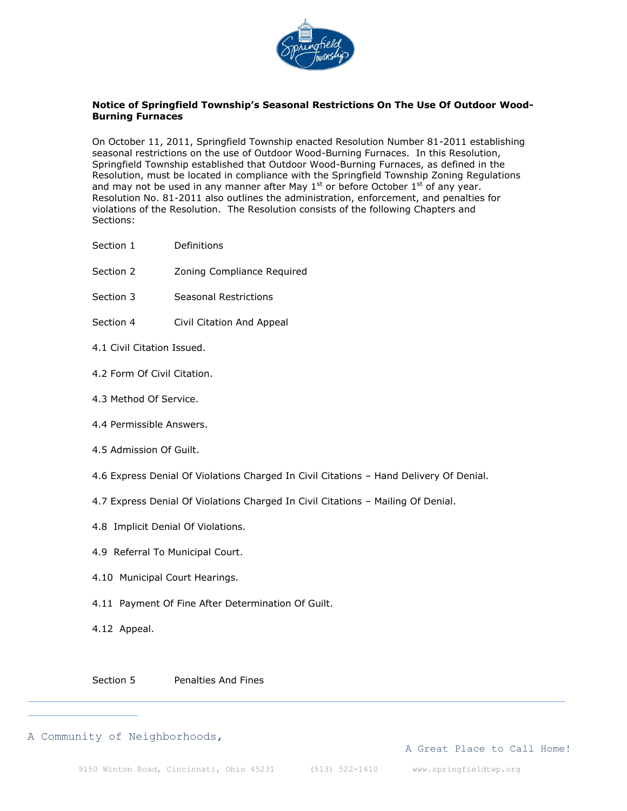

## **Notice of Springfield Township's Seasonal Restrictions On The Use Of Outdoor Wood-Burning Furnaces**

On October 11, 2011, Springfield Township enacted Resolution Number 81-2011 establishing seasonal restrictions on the use of Outdoor Wood-Burning Furnaces. In this Resolution, Springfield Township established that Outdoor Wood-Burning Furnaces, as defined in the Resolution, must be located in compliance with the Springfield Township Zoning Regulations and may not be used in any manner after May  $1<sup>st</sup>$  or before October  $1<sup>st</sup>$  of any year. Resolution No. 81-2011 also outlines the administration, enforcement, and penalties for violations of the Resolution. The Resolution consists of the following Chapters and Sections:

- Section 1 Definitions
- Section 2 **Zoning Compliance Required**
- Section 3 Seasonal Restrictions
- Section 4 Civil Citation And Appeal
- 4.1 Civil Citation Issued.
- 4.2 Form Of Civil Citation.
- 4.3 Method Of Service.
- 4.4 Permissible Answers.
- 4.5 Admission Of Guilt.
- 4.6 Express Denial Of Violations Charged In Civil Citations Hand Delivery Of Denial.
- 4.7 Express Denial Of Violations Charged In Civil Citations Mailing Of Denial.
- 4.8 Implicit Denial Of Violations.
- 4.9 Referral To Municipal Court.
- 4.10 Municipal Court Hearings.
- 4.11 Payment Of Fine After Determination Of Guilt.
- 4.12 Appeal.

Section 5 Penalties And Fines

#### A Community of Neighborhoods,

A Great Place to Call Home!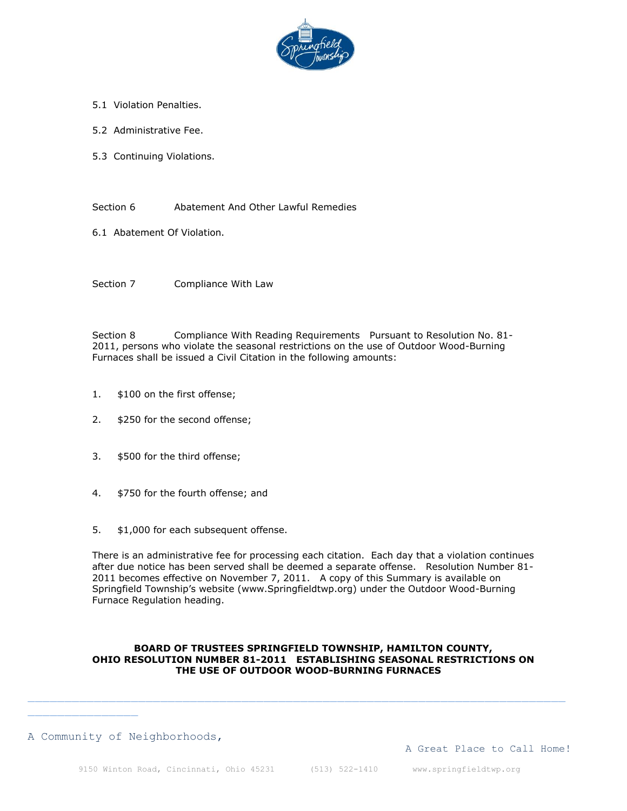

- 5.1 Violation Penalties.
- 5.2 Administrative Fee.
- 5.3 Continuing Violations.

Section 6 **Abatement And Other Lawful Remedies** 

6.1 Abatement Of Violation.

Section 7 Compliance With Law

Section 8 Compliance With Reading Requirements Pursuant to Resolution No. 81- 2011, persons who violate the seasonal restrictions on the use of Outdoor Wood-Burning Furnaces shall be issued a Civil Citation in the following amounts:

- 1. \$100 on the first offense;
- 2. \$250 for the second offense;
- 3. \$500 for the third offense;
- 4. \$750 for the fourth offense; and
- 5. \$1,000 for each subsequent offense.

There is an administrative fee for processing each citation. Each day that a violation continues after due notice has been served shall be deemed a separate offense. Resolution Number 81- 2011 becomes effective on November 7, 2011. A copy of this Summary is available on Springfield Township's website (www.Springfieldtwp.org) under the Outdoor Wood-Burning Furnace Regulation heading.

### **BOARD OF TRUSTEES SPRINGFIELD TOWNSHIP, HAMILTON COUNTY, OHIO RESOLUTION NUMBER 81-2011 ESTABLISHING SEASONAL RESTRICTIONS ON THE USE OF OUTDOOR WOOD-BURNING FURNACES**

### A Community of Neighborhoods,

A Great Place to Call Home!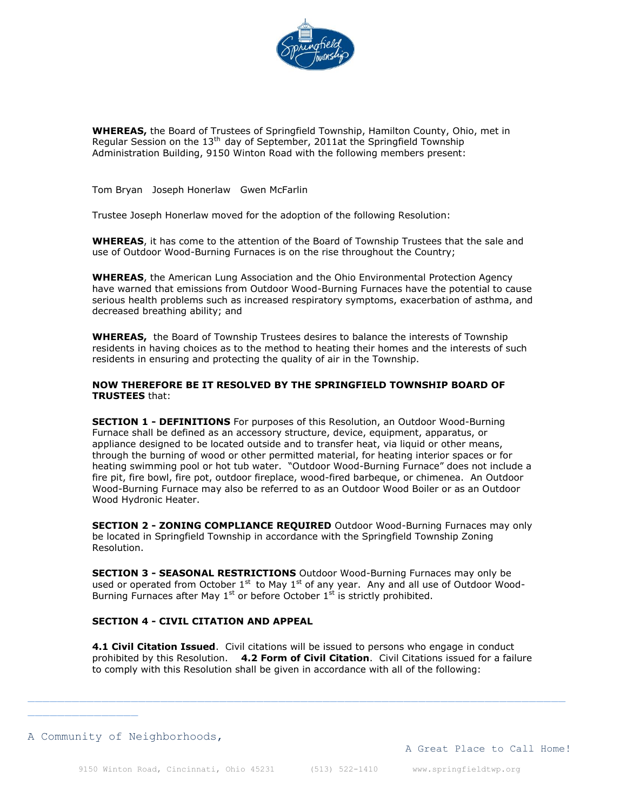

**WHEREAS,** the Board of Trustees of Springfield Township, Hamilton County, Ohio, met in Regular Session on the  $13<sup>th</sup>$  day of September, 2011at the Springfield Township Administration Building, 9150 Winton Road with the following members present:

Tom Bryan Joseph Honerlaw Gwen McFarlin

Trustee Joseph Honerlaw moved for the adoption of the following Resolution:

**WHEREAS**, it has come to the attention of the Board of Township Trustees that the sale and use of Outdoor Wood-Burning Furnaces is on the rise throughout the Country;

**WHEREAS**, the American Lung Association and the Ohio Environmental Protection Agency have warned that emissions from Outdoor Wood-Burning Furnaces have the potential to cause serious health problems such as increased respiratory symptoms, exacerbation of asthma, and decreased breathing ability; and

**WHEREAS,** the Board of Township Trustees desires to balance the interests of Township residents in having choices as to the method to heating their homes and the interests of such residents in ensuring and protecting the quality of air in the Township.

#### **NOW THEREFORE BE IT RESOLVED BY THE SPRINGFIELD TOWNSHIP BOARD OF TRUSTEES** that:

**SECTION 1 - DEFINITIONS** For purposes of this Resolution, an Outdoor Wood-Burning Furnace shall be defined as an accessory structure, device, equipment, apparatus, or appliance designed to be located outside and to transfer heat, via liquid or other means, through the burning of wood or other permitted material, for heating interior spaces or for heating swimming pool or hot tub water. "Outdoor Wood-Burning Furnace" does not include a fire pit, fire bowl, fire pot, outdoor fireplace, wood-fired barbeque, or chimenea. An Outdoor Wood-Burning Furnace may also be referred to as an Outdoor Wood Boiler or as an Outdoor Wood Hydronic Heater.

**SECTION 2 - ZONING COMPLIANCE REQUIRED** Outdoor Wood-Burning Furnaces may only be located in Springfield Township in accordance with the Springfield Township Zoning Resolution.

**SECTION 3 - SEASONAL RESTRICTIONS** Outdoor Wood-Burning Furnaces may only be used or operated from October  $1^{st}$  to May  $1^{st}$  of any year. Any and all use of Outdoor Wood-Burning Furnaces after May  $1<sup>st</sup>$  or before October  $1<sup>st</sup>$  is strictly prohibited.

### **SECTION 4 - CIVIL CITATION AND APPEAL**

**4.1 Civil Citation Issued**. Civil citations will be issued to persons who engage in conduct prohibited by this Resolution. **4.2 Form of Civil Citation**. Civil Citations issued for a failure to comply with this Resolution shall be given in accordance with all of the following:

#### A Community of Neighborhoods,

A Great Place to Call Home!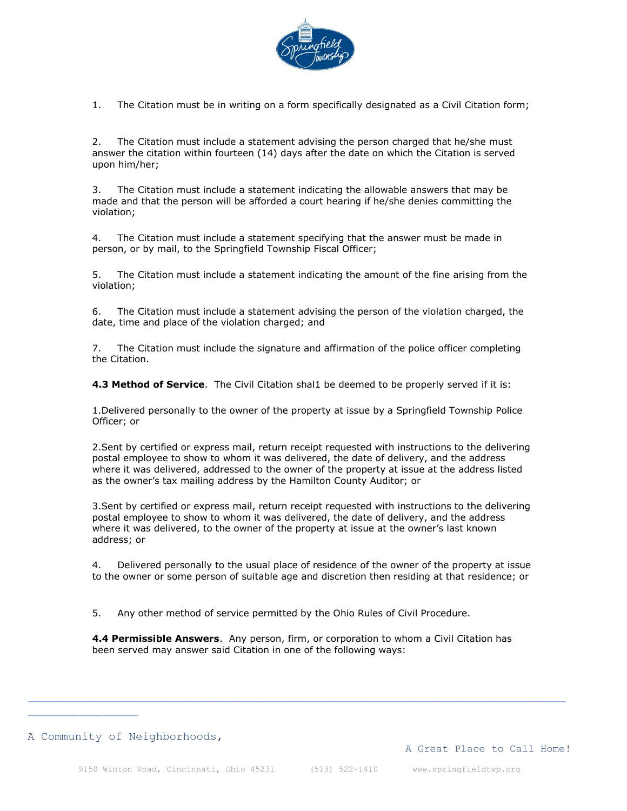

1. The Citation must be in writing on a form specifically designated as a Civil Citation form;

2. The Citation must include a statement advising the person charged that he/she must answer the citation within fourteen (14) days after the date on which the Citation is served upon him/her;

3. The Citation must include a statement indicating the allowable answers that may be made and that the person will be afforded a court hearing if he/she denies committing the violation;

4. The Citation must include a statement specifying that the answer must be made in person, or by mail, to the Springfield Township Fiscal Officer;

5. The Citation must include a statement indicating the amount of the fine arising from the violation;

6. The Citation must include a statement advising the person of the violation charged, the date, time and place of the violation charged; and

7. The Citation must include the signature and affirmation of the police officer completing the Citation.

**4.3 Method of Service**. The Civil Citation shal1 be deemed to be properly served if it is:

1.Delivered personally to the owner of the property at issue by a Springfield Township Police Officer; or

2.Sent by certified or express mail, return receipt requested with instructions to the delivering postal employee to show to whom it was delivered, the date of delivery, and the address where it was delivered, addressed to the owner of the property at issue at the address listed as the owner's tax mailing address by the Hamilton County Auditor; or

3.Sent by certified or express mail, return receipt requested with instructions to the delivering postal employee to show to whom it was delivered, the date of delivery, and the address where it was delivered, to the owner of the property at issue at the owner's last known address; or

4. Delivered personally to the usual place of residence of the owner of the property at issue to the owner or some person of suitable age and discretion then residing at that residence; or

5. Any other method of service permitted by the Ohio Rules of Civil Procedure.

**4.4 Permissible Answers**. Any person, firm, or corporation to whom a Civil Citation has been served may answer said Citation in one of the following ways: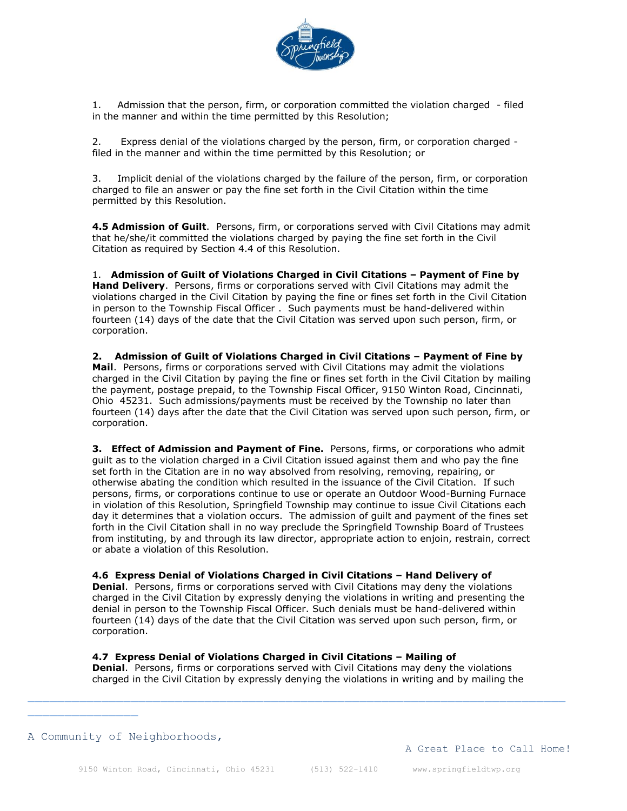

1. Admission that the person, firm, or corporation committed the violation charged - filed in the manner and within the time permitted by this Resolution;

2. Express denial of the violations charged by the person, firm, or corporation charged filed in the manner and within the time permitted by this Resolution; or

3. Implicit denial of the violations charged by the failure of the person, firm, or corporation charged to file an answer or pay the fine set forth in the Civil Citation within the time permitted by this Resolution.

**4.5 Admission of Guilt**. Persons, firm, or corporations served with Civil Citations may admit that he/she/it committed the violations charged by paying the fine set forth in the Civil Citation as required by Section 4.4 of this Resolution.

1. **Admission of Guilt of Violations Charged in Civil Citations – Payment of Fine by Hand Delivery**. Persons, firms or corporations served with Civil Citations may admit the violations charged in the Civil Citation by paying the fine or fines set forth in the Civil Citation in person to the Township Fiscal Officer . Such payments must be hand-delivered within fourteen (14) days of the date that the Civil Citation was served upon such person, firm, or corporation.

**2. Admission of Guilt of Violations Charged in Civil Citations – Payment of Fine by Mail**. Persons, firms or corporations served with Civil Citations may admit the violations charged in the Civil Citation by paying the fine or fines set forth in the Civil Citation by mailing the payment, postage prepaid, to the Township Fiscal Officer, 9150 Winton Road, Cincinnati, Ohio 45231. Such admissions/payments must be received by the Township no later than fourteen (14) days after the date that the Civil Citation was served upon such person, firm, or corporation.

**3. Effect of Admission and Payment of Fine.** Persons, firms, or corporations who admit guilt as to the violation charged in a Civil Citation issued against them and who pay the fine set forth in the Citation are in no way absolved from resolving, removing, repairing, or otherwise abating the condition which resulted in the issuance of the Civil Citation. If such persons, firms, or corporations continue to use or operate an Outdoor Wood-Burning Furnace in violation of this Resolution, Springfield Township may continue to issue Civil Citations each day it determines that a violation occurs. The admission of guilt and payment of the fines set forth in the Civil Citation shall in no way preclude the Springfield Township Board of Trustees from instituting, by and through its law director, appropriate action to enjoin, restrain, correct or abate a violation of this Resolution.

#### **4.6 Express Denial of Violations Charged in Civil Citations – Hand Delivery of**

**Denial**. Persons, firms or corporations served with Civil Citations may deny the violations charged in the Civil Citation by expressly denying the violations in writing and presenting the denial in person to the Township Fiscal Officer. Such denials must be hand-delivered within fourteen (14) days of the date that the Civil Citation was served upon such person, firm, or corporation.

#### **4.7 Express Denial of Violations Charged in Civil Citations – Mailing of**

**Denial**. Persons, firms or corporations served with Civil Citations may deny the violations charged in the Civil Citation by expressly denying the violations in writing and by mailing the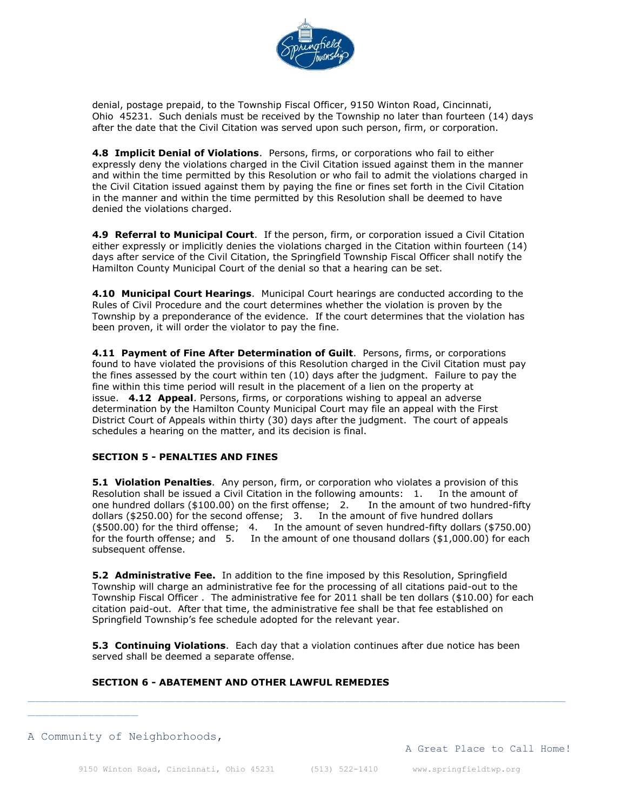

denial, postage prepaid, to the Township Fiscal Officer, 9150 Winton Road, Cincinnati, Ohio 45231. Such denials must be received by the Township no later than fourteen (14) days after the date that the Civil Citation was served upon such person, firm, or corporation.

**4.8 Implicit Denial of Violations**. Persons, firms, or corporations who fail to either expressly deny the violations charged in the Civil Citation issued against them in the manner and within the time permitted by this Resolution or who fail to admit the violations charged in the Civil Citation issued against them by paying the fine or fines set forth in the Civil Citation in the manner and within the time permitted by this Resolution shall be deemed to have denied the violations charged.

**4.9 Referral to Municipal Court**. If the person, firm, or corporation issued a Civil Citation either expressly or implicitly denies the violations charged in the Citation within fourteen (14) days after service of the Civil Citation, the Springfield Township Fiscal Officer shall notify the Hamilton County Municipal Court of the denial so that a hearing can be set.

**4.10 Municipal Court Hearings**. Municipal Court hearings are conducted according to the Rules of Civil Procedure and the court determines whether the violation is proven by the Township by a preponderance of the evidence. If the court determines that the violation has been proven, it will order the violator to pay the fine.

**4.11 Payment of Fine After Determination of Guilt**. Persons, firms, or corporations found to have violated the provisions of this Resolution charged in the Civil Citation must pay the fines assessed by the court within ten (10) days after the judgment. Failure to pay the fine within this time period will result in the placement of a lien on the property at issue. **4.12 Appeal**. Persons, firms, or corporations wishing to appeal an adverse determination by the Hamilton County Municipal Court may file an appeal with the First District Court of Appeals within thirty (30) days after the judgment. The court of appeals schedules a hearing on the matter, and its decision is final.

## **SECTION 5 - PENALTIES AND FINES**

**5.1 Violation Penalties**. Any person, firm, or corporation who violates a provision of this Resolution shall be issued a Civil Citation in the following amounts: 1. In the amount of one hundred dollars (\$100.00) on the first offense; 2. In the amount of two hundred-fifty dollars (\$250.00) for the second offense; 3. In the amount of five hundred dollars (\$500.00) for the third offense; 4. In the amount of seven hundred-fifty dollars (\$750.00) for the fourth offense; and  $5.$  In the amount of one thousand dollars (\$1,000.00) for each subsequent offense.

**5.2 Administrative Fee.** In addition to the fine imposed by this Resolution, Springfield Township will charge an administrative fee for the processing of all citations paid-out to the Township Fiscal Officer . The administrative fee for 2011 shall be ten dollars (\$10.00) for each citation paid-out. After that time, the administrative fee shall be that fee established on Springfield Township's fee schedule adopted for the relevant year.

**5.3 Continuing Violations**. Each day that a violation continues after due notice has been served shall be deemed a separate offense.

# **SECTION 6 - ABATEMENT AND OTHER LAWFUL REMEDIES**